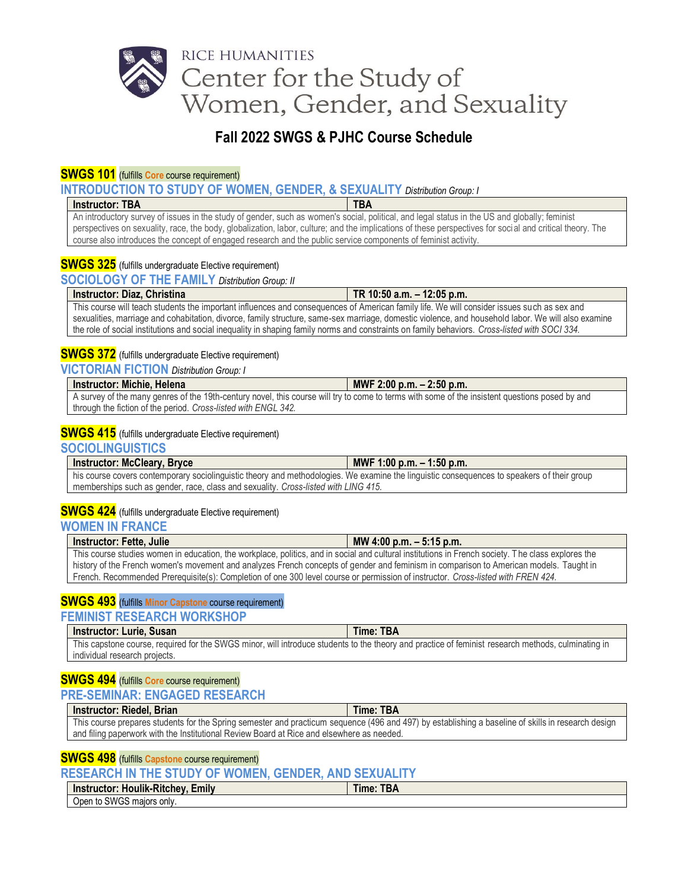# RICE HUMANITIES Center for the Study of Women, Gender, and Sexuality

# **Fall 2022 SWGS & PJHC Course Schedule**

## **SWGS 101** (fulfills **Core** course requirement)

**INTRODUCTION TO STUDY OF WOMEN, GENDER, & SEXUALITY** *Distribution Group: I*

#### **Instructor: TBA TBA TBA**

An introductory survey of issues in the study of gender, such as women's social, political, and legal status in the US and globally; feminist perspectives on sexuality, race, the body, globalization, labor, culture; and the implications of these perspectives for social and critical theory. The course also introduces the concept of engaged research and the public service components of feminist activity.

# **SWGS 325** (fulfills undergraduate Elective requirement)

**SOCIOLOGY OF THE FAMILY** *Distribution Group: II*

|                                                                                                                                                    | Instructor: Diaz, Christina                                                                                                                    | TR 10:50 a.m. $-$ 12:05 p.m. |
|----------------------------------------------------------------------------------------------------------------------------------------------------|------------------------------------------------------------------------------------------------------------------------------------------------|------------------------------|
|                                                                                                                                                    | This course will teach students the important influences and consequences of American family life. We will consider issues such as sex and     |                              |
| sexualities, marriage and cohabitation, divorce, family structure, same-sex marriage, domestic violence, and household labor. We will also examine |                                                                                                                                                |                              |
|                                                                                                                                                    | the role of social institutions and social inequality in shaping family norms and constraints on family behaviors. Cross-listed with SOCI 334. |                              |

## **SWGS 372** (fulfills undergraduate Elective requirement)

**VICTORIAN FICTION** *Distribution Group: I*

### **Instructor: Michie, Helena MWF 2:00 p.m. – 2:50 p.m.**

A survey of the many genres of the 19th-century novel, this course will try to come to terms with some of the insistent questions posed by and through the fiction of the period. *Cross-listed with ENGL 342.*

## **SWGS 415** (fulfills undergraduate Elective requirement)

**SOCIOLINGUISTICS**

| Instructor: McCleary, Bryce                                                                                                                | MWF 1:00 p.m. $-$ 1:50 p.m. |
|--------------------------------------------------------------------------------------------------------------------------------------------|-----------------------------|
| his course covers contemporary sociolinguistic theory and methodologies. We examine the linguistic consequences to speakers of their group |                             |
| memberships such as gender, race, class and sexuality. Cross-listed with LING 415.                                                         |                             |

### **SWGS 424** (fulfills undergraduate Elective requirement)

### **WOMEN IN FRANCE**

| <b>Instructor: Fette, Julie</b>                                                                                                                    | MW 4:00 p.m. $-5:15$ p.m. |
|----------------------------------------------------------------------------------------------------------------------------------------------------|---------------------------|
| This course studies women in education, the workplace, politics, and in social and cultural institutions in French society. The class explores the |                           |
| history of the French women's movement and analyzes French concepts of gender and feminism in comparison to American models. Taught in             |                           |
| French. Recommended Prerequisite(s): Completion of one 300 level course or permission of instructor. Cross-listed with FREN 424.                   |                           |

# **SWGS 493** (fulfills **Minor Capstone** course requirement)

#### **FEMINIST RESEARCH WORKSHOP**

| Instructor: Lurie, Susan                                                                                                                           | Time: TBA |
|----------------------------------------------------------------------------------------------------------------------------------------------------|-----------|
| This capstone course, required for the SWGS minor, will introduce students to the theory and practice of feminist research methods, culminating in |           |
| individual research projects.                                                                                                                      |           |

# **SWGS 494** (fulfills **Core** course requirement)

### **PRE-SEMINAR: ENGAGED RESEARCH**

| <b>Instructor: Riedel, Brian</b>                                                                                                                   | Time: TBA |
|----------------------------------------------------------------------------------------------------------------------------------------------------|-----------|
| This course prepares students for the Spring semester and practicum sequence (496 and 497) by establishing a baseline of skills in research design |           |
| and filing paperwork with the Institutional Review Board at Rice and elsewhere as needed.                                                          |           |

#### **SWGS 498** (fulfills **Capstone** course requirement)

**RESEARCH IN THE STUDY OF WOMEN, GENDER, AND SEXUALITY**

| $\blacksquare$<br>$\sim$<br><b>Houlik-Ritchev</b><br>Instructor:<br>Emilv | $-Dn$<br>l ime:<br>. DF |
|---------------------------------------------------------------------------|-------------------------|
| $\sim$<br>: onlv.<br>maiors<br>Jpen<br>a to SWG'<br>טטו                   |                         |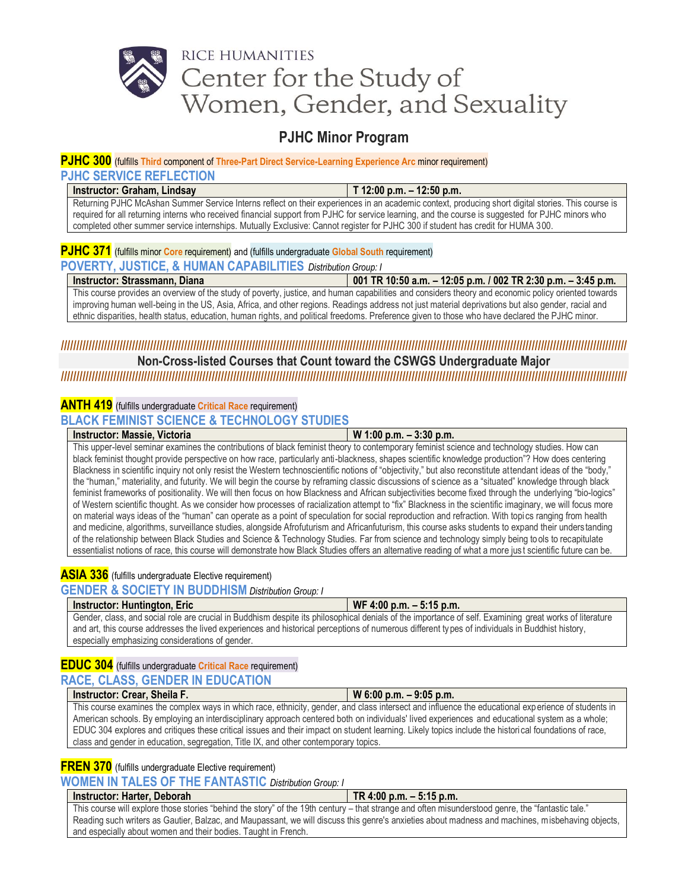# RICE HUMANITIES Center for the Study of Women, Gender, and Sexuality

# **PJHC Minor Program**

### **PJHC 300** (fulfills **Third** component of **Three-Part Direct Service-Learning Experience Arc** minor requirement) **PJHC SERVICE REFLECTION**

# **Instructor: Graham, Lindsay T 12:00 p.m. – 12:50 p.m.**

Returning PJHC McAshan Summer Service Interns reflect on their experiences in an academic context, producing short digital stories. This course is required for all returning interns who received financial support from PJHC for service learning, and the course is suggested for PJHC minors who completed other summer service internships. Mutually Exclusive: Cannot register for PJHC 300 if student has credit for HUMA 300.

# **PJHC 371** (fulfills minor **Core** requirement) and (fulfills undergraduate **Global South** requirement)

# **POVERTY, JUSTICE, & HUMAN CAPABILITIES** *Distribution Group: I*

| Instructor: Strassmann, Diana                                                                                                                       | 001 TR 10:50 a.m. - 12:05 p.m. / 002 TR 2:30 p.m. - 3:45 p.m. |  |
|-----------------------------------------------------------------------------------------------------------------------------------------------------|---------------------------------------------------------------|--|
| This course provides an overview of the study of poverty, justice, and human capabilities and considers theory and economic policy oriented towards |                                                               |  |
| improving human well-being in the US, Asia, Africa, and other regions. Readings address not just material deprivations but also gender, racial and  |                                                               |  |
| ethnic disparities, health status, education, human rights, and political freedoms. Preference given to those who have declared the PJHC minor.     |                                                               |  |

# **////////////////////////////////////////////////////////////////////////////////////////////////////////////////////////////////////////////////////////////////////////////////////////**

## **Non-Cross-listed Courses that Count toward the CSWGS Undergraduate Major ////////////////////////////////////////////////////////////////////////////////////////////////////////////////////////////////////////////////////////////////////////////////////////**

# **ANTH 419** (fulfills undergraduate **Critical Race** requirement)

**BLACK FEMINIST SCIENCE & TECHNOLOGY STUDIES**

#### **Instructor: Massie, Victoria W 1:00 p.m. – 3:30 p.m.**

This upper-level seminar examines the contributions of black feminist theory to contemporary feminist science and technology studies. How can black feminist thought provide perspective on how race, particularly anti-blackness, shapes scientific knowledge production"? How does centering Blackness in scientific inquiry not only resist the Western technoscientific notions of "objectivity," but also reconstitute attendant ideas of the "body," the "human," materiality, and futurity. We will begin the course by reframing classic discussions of science as a "situated" knowledge through black feminist frameworks of positionality. We will then focus on how Blackness and African subjectivities become fixed through the underlying "bio-logics" of Western scientific thought. As we consider how processes of racialization attempt to "fix" Blackness in the scientific imaginary, we will focus more on material ways ideas of the "human" can operate as a point of speculation for social reproduction and refraction. With topi cs ranging from health and medicine, algorithms, surveillance studies, alongside Afrofuturism and Africanfuturism, this course asks students to expand their unders tanding of the relationship between Black Studies and Science & Technology Studies. Far from science and technology simply being to ols to recapitulate essentialist notions of race, this course will demonstrate how Black Studies offers an alternative reading of what a more jus t scientific future can be.

# **ASIA 336** (fulfills undergraduate Elective requirement)

**GENDER & SOCIETY IN BUDDHISM** *Distribution Group: I*

| <b>Instructor: Huntington, Eric</b>                                                                                                                                                                 | WF 4:00 p.m. $-5:15$ p.m.                                                                                                                               |
|-----------------------------------------------------------------------------------------------------------------------------------------------------------------------------------------------------|---------------------------------------------------------------------------------------------------------------------------------------------------------|
| and art, this course addresses the lived experiences and historical perceptions of numerous different types of individuals in Buddhist history,<br>especially emphasizing considerations of gender. | Gender, class, and social role are crucial in Buddhism despite its philosophical denials of the importance of self. Examining great works of literature |

#### **EDUC 304** (fulfills undergraduate **Critical Race** requirement) **RACE, CLASS, GENDER IN EDUCATION**

|                                                                                                                                                     | <b>Instructor: Crear, Sheila F.</b>                                                                                                             | $W$ 6:00 p.m. $-$ 9:05 p.m. |
|-----------------------------------------------------------------------------------------------------------------------------------------------------|-------------------------------------------------------------------------------------------------------------------------------------------------|-----------------------------|
| This course examines the complex ways in which race, ethnicity, gender, and class intersect and influence the educational experience of students in |                                                                                                                                                 |                             |
|                                                                                                                                                     | American schools. By employing an interdisciplinary approach centered both on individuals' lived experiences and educational system as a whole; |                             |

EDUC 304 explores and critiques these critical issues and their impact on student learning. Likely topics include the histori cal foundations of race,

# **FREN 370** (fulfills undergraduate Elective requirement)

**WOMEN IN TALES OF THE FANTASTIC** *Distribution Group: I*

class and gender in education, segregation, Title IX, and other contemporary topics.

#### **Instructor: Harter, Deborah TR 4:00 p.m. – 5:15 p.m.**

This course will explore those stories "behind the story" of the 19th century – that strange and often misunderstood genre, the "fantastic tale." Reading such writers as Gautier, Balzac, and Maupassant, we will discuss this genre's anxieties about madness and machines, misbehaving objects, and especially about women and their bodies. Taught in French.